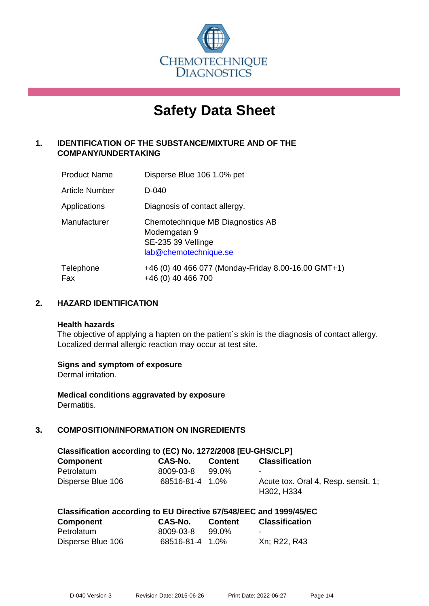

# **Safety Data Sheet**

# **1. IDENTIFICATION OF THE SUBSTANCE/MIXTURE AND OF THE COMPANY/UNDERTAKING**

| <b>Product Name</b> | Disperse Blue 106 1.0% pet                                                                      |
|---------------------|-------------------------------------------------------------------------------------------------|
| Article Number      | D-040                                                                                           |
| Applications        | Diagnosis of contact allergy.                                                                   |
| Manufacturer        | Chemotechnique MB Diagnostics AB<br>Modemgatan 9<br>SE-235 39 Vellinge<br>lab@chemotechnique.se |
| Telephone<br>Fax    | +46 (0) 40 466 077 (Monday-Friday 8.00-16.00 GMT+1)<br>+46 (0) 40 466 700                       |

## **2. HAZARD IDENTIFICATION**

#### **Health hazards**

The objective of applying a hapten on the patient's skin is the diagnosis of contact allergy. Localized dermal allergic reaction may occur at test site.

## **Signs and symptom of exposure**

Dermal irritation.

**Medical conditions aggravated by exposure** Dermatitis.

# **3. COMPOSITION/INFORMATION ON INGREDIENTS**

| Classification according to (EC) No. 1272/2008 [EU-GHS/CLP] |                 |         |                                                   |
|-------------------------------------------------------------|-----------------|---------|---------------------------------------------------|
| Component                                                   | CAS-No.         | Content | <b>Classification</b>                             |
| Petrolatum                                                  | 8009-03-8       | 99.0%   |                                                   |
| Disperse Blue 106                                           | 68516-81-4 1.0% |         | Acute tox. Oral 4, Resp. sensit. 1;<br>H302, H334 |

|                  | Classification according to EU Directive 67/548/EEC and 1999/45/EC |                |                       |
|------------------|--------------------------------------------------------------------|----------------|-----------------------|
| <b>Component</b> | CAS-No.                                                            | <b>Content</b> | <b>Classification</b> |

|                   | --------        | _ _ _ _ _ _ _ _ _ | ------------ |
|-------------------|-----------------|-------------------|--------------|
| Petrolatum        | 8009-03-8 99.0% |                   | -            |
| Disperse Blue 106 | 68516-81-4 1.0% |                   | Xn; R22, R43 |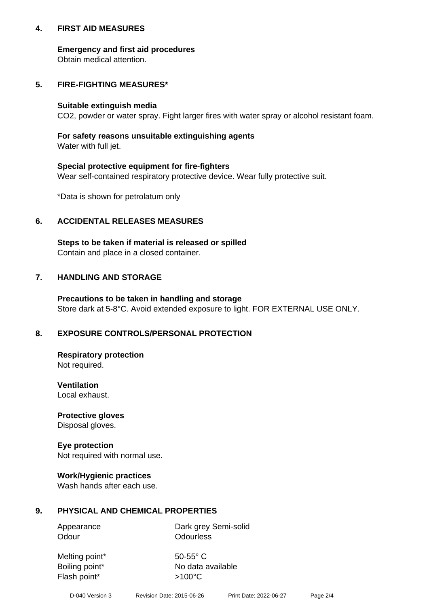## **4. FIRST AID MEASURES**

## **Emergency and first aid procedures**

Obtain medical attention.

# **5. FIRE-FIGHTING MEASURES\***

#### **Suitable extinguish media**

CO2, powder or water spray. Fight larger fires with water spray or alcohol resistant foam.

# **For safety reasons unsuitable extinguishing agents**

Water with full jet.

## **Special protective equipment for fire-fighters**

Wear self-contained respiratory protective device. Wear fully protective suit.

\*Data is shown for petrolatum only

## **6. ACCIDENTAL RELEASES MEASURES**

**Steps to be taken if material is released or spilled** Contain and place in a closed container.

# **7. HANDLING AND STORAGE**

**Precautions to be taken in handling and storage** Store dark at 5-8°C. Avoid extended exposure to light. FOR EXTERNAL USE ONLY.

# **8. EXPOSURE CONTROLS/PERSONAL PROTECTION**

**Respiratory protection** Not required.

**Ventilation** Local exhaust.

**Protective gloves** Disposal gloves.

#### **Eye protection** Not required with normal use.

## **Work/Hygienic practices**

Wash hands after each use.

## **9. PHYSICAL AND CHEMICAL PROPERTIES**

Odour **Odourless** 

Appearance Dark grey Semi-solid

Melting point\* 50-55° C Flash point\*  $>100^{\circ}$ C

Boiling point\* No data available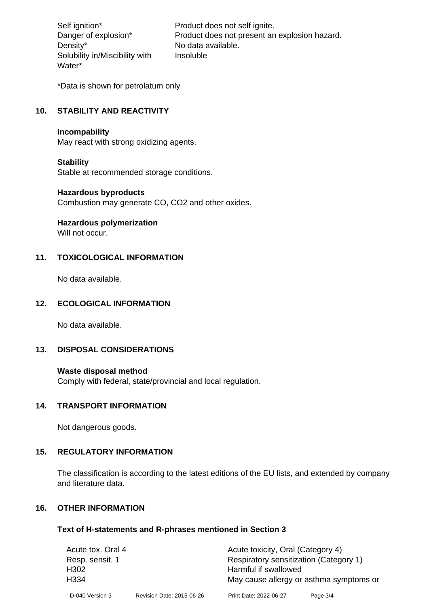Density\* No data available. Solubility in/Miscibility with Water\*

Self ignition\* Product does not self ignite. Danger of explosion\* Product does not present an explosion hazard. Insoluble

\*Data is shown for petrolatum only

# **10. STABILITY AND REACTIVITY**

#### **Incompability**

May react with strong oxidizing agents.

#### **Stability**

Stable at recommended storage conditions.

#### **Hazardous byproducts**

Combustion may generate CO, CO2 and other oxides.

**Hazardous polymerization**

Will not occur.

## **11. TOXICOLOGICAL INFORMATION**

No data available.

## **12. ECOLOGICAL INFORMATION**

No data available.

## **13. DISPOSAL CONSIDERATIONS**

#### **Waste disposal method**

Comply with federal, state/provincial and local regulation.

#### **14. TRANSPORT INFORMATION**

Not dangerous goods.

## **15. REGULATORY INFORMATION**

The classification is according to the latest editions of the EU lists, and extended by company and literature data.

#### **16. OTHER INFORMATION**

#### **Text of H-statements and R-phrases mentioned in Section 3**

| Acute tox. Oral 4 |                           | Acute toxicity, Oral (Category 4)      |                                         |
|-------------------|---------------------------|----------------------------------------|-----------------------------------------|
| Resp. sensit. 1   |                           | Respiratory sensitization (Category 1) |                                         |
| H <sub>302</sub>  |                           | Harmful if swallowed                   |                                         |
| H <sub>3</sub> 34 |                           |                                        | May cause allergy or asthma symptoms or |
| D-040 Version 3   | Revision Date: 2015-06-26 | Print Date: 2022-06-27                 | Page 3/4                                |